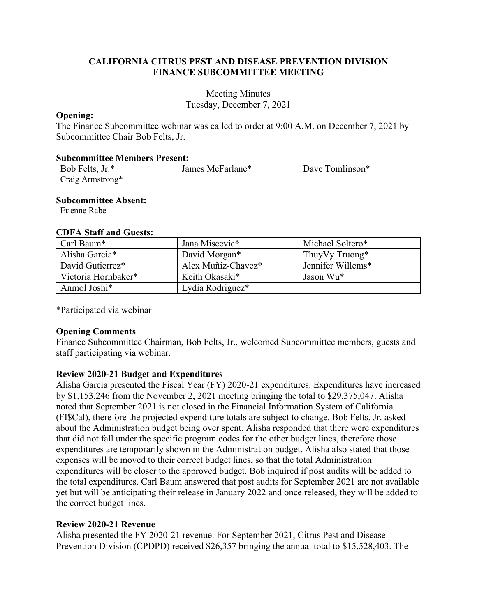## **CALIFORNIA CITRUS PEST AND DISEASE PREVENTION DIVISION FINANCE SUBCOMMITTEE MEETING**

Meeting Minutes Tuesday, December 7, 2021

#### **Opening:**

The Finance Subcommittee webinar was called to order at 9:00 A.M. on December 7, 2021 by Subcommittee Chair Bob Felts, Jr.

#### **Subcommittee Members Present:**

| Bob Felts, Jr.*  | James McFarlane* | Dave Tomlinson* |
|------------------|------------------|-----------------|
| Craig Armstrong* |                  |                 |

#### **Subcommittee Absent:**

Etienne Rabe

## **CDFA Staff and Guests:**

| Carl Baum*          | Jana Miscevic*     | Michael Soltero*  |
|---------------------|--------------------|-------------------|
| Alisha Garcia*      | David Morgan*      | Thuy Vy Truong*   |
| David Gutierrez*    | Alex Muñiz-Chavez* | Jennifer Willems* |
| Victoria Hornbaker* | Keith Okasaki*     | Jason Wu*         |
| Anmol Joshi*        | Lydia Rodriguez*   |                   |

\*Participated via webinar

## **Opening Comments**

Finance Subcommittee Chairman, Bob Felts, Jr., welcomed Subcommittee members, guests and staff participating via webinar.

## **Review 2020-21 Budget and Expenditures**

 Alisha Garcia presented the Fiscal Year (FY) 2020-21 expenditures. Expenditures have increased by \$1,153,246 from the November 2, 2021 meeting bringing the total to \$29,375,047. Alisha about the Administration budget being over spent. Alisha responded that there were expenditures noted that September 2021 is not closed in the Financial Information System of California (FI\$Cal), therefore the projected expenditure totals are subject to change. Bob Felts, Jr. asked that did not fall under the specific program codes for the other budget lines, therefore those expenditures are temporarily shown in the Administration budget. Alisha also stated that those expenses will be moved to their correct budget lines, so that the total Administration expenditures will be closer to the approved budget. Bob inquired if post audits will be added to the total expenditures. Carl Baum answered that post audits for September 2021 are not available yet but will be anticipating their release in January 2022 and once released, they will be added to the correct budget lines.

## **Review 2020-21 Revenue**

Alisha presented the FY 2020-21 revenue. For September 2021, Citrus Pest and Disease Prevention Division (CPDPD) received \$26,357 bringing the annual total to \$15,528,403. The